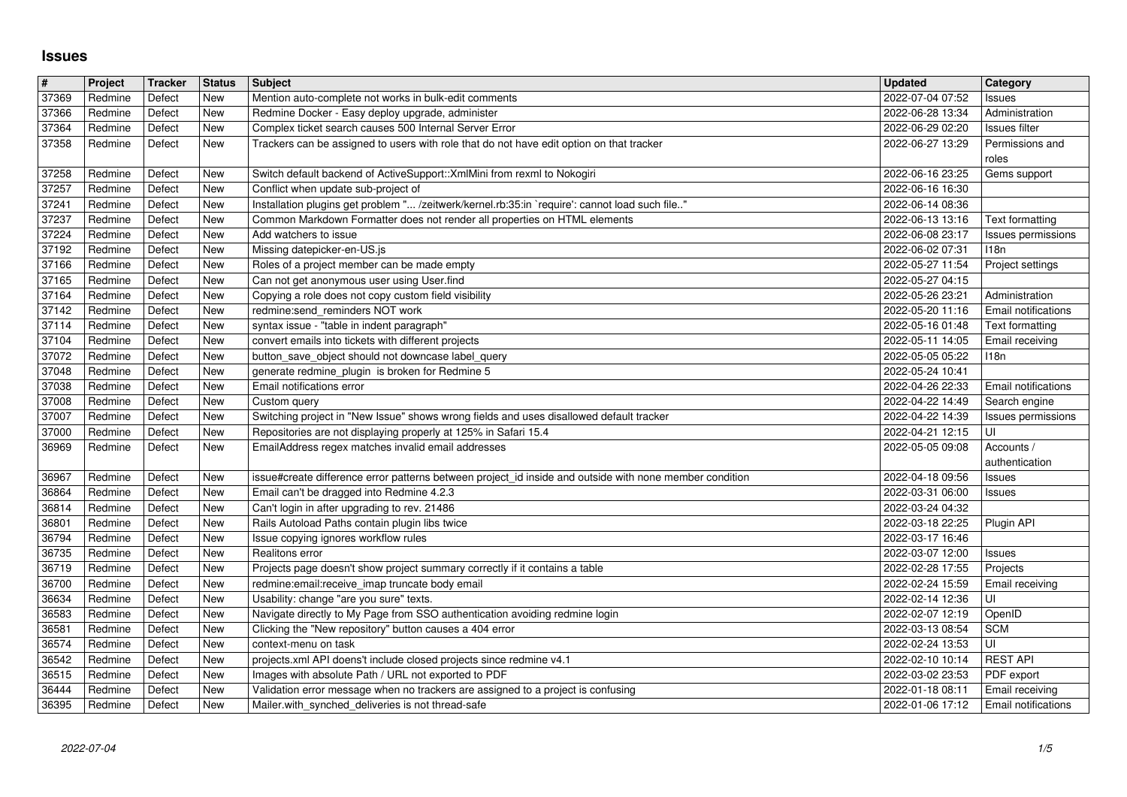## **Issues**

| $\overline{\#}$ | Project            | <b>Tracker</b>   | <b>Status</b> | <b>Subject</b>                                                                                                                                                              | Updated                              | Category                                    |
|-----------------|--------------------|------------------|---------------|-----------------------------------------------------------------------------------------------------------------------------------------------------------------------------|--------------------------------------|---------------------------------------------|
| 37369           | Redmine            | Defect           | New           | Mention auto-complete not works in bulk-edit comments                                                                                                                       | 2022-07-04 07:52                     | Issues                                      |
| 37366<br>37364  | Redmine<br>Redmine | Defect<br>Defect | New<br>New    | Redmine Docker - Easy deploy upgrade, administer<br>Complex ticket search causes 500 Internal Server Error                                                                  | 2022-06-28 13:34<br>2022-06-29 02:20 | Administration<br>Issues filter             |
| 37358           | Redmine            | Defect           | New           | Trackers can be assigned to users with role that do not have edit option on that tracker                                                                                    | 2022-06-27 13:29                     | Permissions and                             |
|                 |                    |                  |               |                                                                                                                                                                             |                                      | roles                                       |
| 37258           | Redmine            | Defect           | New           | Switch default backend of ActiveSupport:: XmlMini from rexml to Nokogiri                                                                                                    | 2022-06-16 23:25                     | Gems support                                |
| 37257           | Redmine            | Defect           | New           | Conflict when update sub-project of                                                                                                                                         | 2022-06-16 16:30                     |                                             |
| 37241<br>37237  | Redmine<br>Redmine | Defect<br>Defect | New<br>New    | Installation plugins get problem " /zeitwerk/kernel.rb:35:in `require': cannot load such file"<br>Common Markdown Formatter does not render all properties on HTML elements | 2022-06-14 08:36<br>2022-06-13 13:16 | Text formatting                             |
| 37224           | Redmine            | Defect           | New           | Add watchers to issue                                                                                                                                                       | 2022-06-08 23:17                     | Issues permissions                          |
| 37192           | Redmine            | Defect           | New           | Missing datepicker-en-US.js                                                                                                                                                 | 2022-06-02 07:31                     | 118n                                        |
| 37166           | Redmine            | Defect           | New           | Roles of a project member can be made empty                                                                                                                                 | 2022-05-27 11:54                     | Project settings                            |
| 37165           | Redmine            | Defect           | New           | Can not get anonymous user using User.find                                                                                                                                  | 2022-05-27 04:15                     |                                             |
| 37164<br>37142  | Redmine<br>Redmine | Defect<br>Defect | New<br>New    | Copying a role does not copy custom field visibility<br>redmine:send_reminders NOT work                                                                                     | 2022-05-26 23:21<br>2022-05-20 11:16 | Administration<br>Email notifications       |
| 37114           | Redmine            | Defect           | New           | syntax issue - "table in indent paragraph"                                                                                                                                  | 2022-05-16 01:48                     | Text formatting                             |
| 37104           | Redmine            | Defect           | New           | convert emails into tickets with different projects                                                                                                                         | 2022-05-11 14:05                     | Email receiving                             |
| 37072           | Redmine            | Defect           | New           | button_save_object should not downcase label_query                                                                                                                          | 2022-05-05 05:22                     | 118n                                        |
| 37048           | Redmine            | Defect           | New           | generate redmine_plugin is broken for Redmine 5                                                                                                                             | 2022-05-24 10:41                     |                                             |
| 37038<br>37008  | Redmine<br>Redmine | Defect<br>Defect | New<br>New    | Email notifications error<br>Custom query                                                                                                                                   | 2022-04-26 22:33<br>2022-04-22 14:49 | <b>Email notifications</b><br>Search engine |
| 37007           | Redmine            | Defect           | New           | Switching project in "New Issue" shows wrong fields and uses disallowed default tracker                                                                                     | 2022-04-22 14:39                     | Issues permissions                          |
| 37000           | Redmine            | Defect           | New           | Repositories are not displaying properly at 125% in Safari 15.4                                                                                                             | 2022-04-21 12:15                     | UI                                          |
| 36969           | Redmine            | Defect           | New           | EmailAddress regex matches invalid email addresses                                                                                                                          | 2022-05-05 09:08                     | Accounts /                                  |
|                 |                    |                  |               |                                                                                                                                                                             |                                      | authentication                              |
| 36967<br>36864  | Redmine<br>Redmine | Defect<br>Defect | New<br>New    | issue#create difference error patterns between project_id inside and outside with none member condition<br>Email can't be dragged into Redmine 4.2.3                        | 2022-04-18 09:56<br>2022-03-31 06:00 | Issues<br>Issues                            |
| 36814           | Redmine            | Defect           | New           | Can't login in after upgrading to rev. 21486                                                                                                                                | 2022-03-24 04:32                     |                                             |
| 36801           | Redmine            | Defect           | New           | Rails Autoload Paths contain plugin libs twice                                                                                                                              | 2022-03-18 22:25                     | Plugin API                                  |
| 36794           | Redmine            | Defect           | New           | Issue copying ignores workflow rules                                                                                                                                        | 2022-03-17 16:46                     |                                             |
| 36735           | Redmine            | Defect           | New           | Realitons error                                                                                                                                                             | 2022-03-07 12:00                     | Issues                                      |
| 36719           | Redmine            | Defect           | New           | Projects page doesn't show project summary correctly if it contains a table                                                                                                 | 2022-02-28 17:55                     | Projects                                    |
| 36700<br>36634  | Redmine<br>Redmine | Defect<br>Defect | New<br>New    | redmine:email:receive_imap truncate body email<br>Usability: change "are you sure" texts.                                                                                   | 2022-02-24 15:59<br>2022-02-14 12:36 | Email receiving<br>UI                       |
| 36583           | Redmine            | Defect           | New           | Navigate directly to My Page from SSO authentication avoiding redmine login                                                                                                 | 2022-02-07 12:19                     | OpenID                                      |
| 36581           | Redmine            | Defect           | New           | Clicking the "New repository" button causes a 404 error                                                                                                                     | 2022-03-13 08:54                     | <b>SCM</b>                                  |
| 36574           | Redmine            | Defect           | New           | context-menu on task                                                                                                                                                        | 2022-02-24 13:53                     | UI                                          |
| 36542           | Redmine            | Defect           | New           | projects.xml API doens't include closed projects since redmine v4.1                                                                                                         | 2022-02-10 10:14                     | <b>REST API</b>                             |
| 36515<br>36444  | Redmine<br>Redmine | Defect<br>Defect | New<br>New    | Images with absolute Path / URL not exported to PDF<br>Validation error message when no trackers are assigned to a project is confusing                                     | 2022-03-02 23:53<br>2022-01-18 08:11 | PDF export<br>Email receiving               |
| 36395           | Redmine            | Defect           | New           | Mailer.with_synched_deliveries is not thread-safe                                                                                                                           | 2022-01-06 17:12                     | Email notifications                         |
|                 |                    |                  |               |                                                                                                                                                                             |                                      |                                             |
|                 |                    |                  |               |                                                                                                                                                                             |                                      |                                             |
|                 |                    |                  |               |                                                                                                                                                                             |                                      |                                             |
|                 |                    |                  |               |                                                                                                                                                                             |                                      |                                             |
|                 |                    |                  |               |                                                                                                                                                                             |                                      |                                             |
|                 |                    |                  |               |                                                                                                                                                                             |                                      |                                             |
|                 |                    |                  |               |                                                                                                                                                                             |                                      |                                             |
|                 |                    |                  |               |                                                                                                                                                                             |                                      |                                             |
|                 |                    |                  |               |                                                                                                                                                                             |                                      |                                             |
|                 |                    |                  |               |                                                                                                                                                                             |                                      |                                             |
|                 |                    |                  |               |                                                                                                                                                                             |                                      |                                             |
|                 |                    |                  |               |                                                                                                                                                                             |                                      |                                             |
|                 |                    |                  |               |                                                                                                                                                                             |                                      |                                             |
|                 |                    |                  |               |                                                                                                                                                                             |                                      |                                             |
|                 |                    |                  |               |                                                                                                                                                                             |                                      |                                             |
|                 |                    |                  |               |                                                                                                                                                                             |                                      |                                             |
|                 |                    |                  |               |                                                                                                                                                                             |                                      |                                             |
|                 |                    |                  |               |                                                                                                                                                                             |                                      |                                             |
|                 |                    |                  |               |                                                                                                                                                                             |                                      |                                             |
|                 |                    |                  |               |                                                                                                                                                                             |                                      |                                             |
|                 |                    |                  |               |                                                                                                                                                                             |                                      |                                             |
|                 |                    |                  |               |                                                                                                                                                                             |                                      |                                             |
|                 |                    |                  |               |                                                                                                                                                                             |                                      |                                             |
|                 |                    |                  |               |                                                                                                                                                                             |                                      |                                             |
|                 |                    |                  |               |                                                                                                                                                                             |                                      |                                             |
|                 |                    |                  |               |                                                                                                                                                                             |                                      |                                             |
|                 |                    |                  |               |                                                                                                                                                                             |                                      |                                             |
|                 |                    |                  |               |                                                                                                                                                                             |                                      |                                             |
|                 |                    |                  |               |                                                                                                                                                                             |                                      |                                             |
|                 |                    |                  |               |                                                                                                                                                                             |                                      |                                             |
|                 |                    |                  |               |                                                                                                                                                                             |                                      |                                             |
|                 |                    |                  |               |                                                                                                                                                                             |                                      |                                             |
|                 |                    |                  |               |                                                                                                                                                                             |                                      |                                             |
|                 |                    |                  |               |                                                                                                                                                                             |                                      |                                             |
|                 |                    |                  |               |                                                                                                                                                                             |                                      |                                             |
|                 |                    |                  |               |                                                                                                                                                                             |                                      |                                             |
|                 |                    |                  |               |                                                                                                                                                                             |                                      |                                             |
|                 |                    |                  |               |                                                                                                                                                                             |                                      |                                             |
|                 |                    |                  |               |                                                                                                                                                                             |                                      |                                             |
|                 |                    |                  |               |                                                                                                                                                                             |                                      |                                             |
|                 |                    |                  |               |                                                                                                                                                                             |                                      |                                             |
|                 |                    |                  |               |                                                                                                                                                                             |                                      |                                             |
|                 |                    |                  |               |                                                                                                                                                                             |                                      |                                             |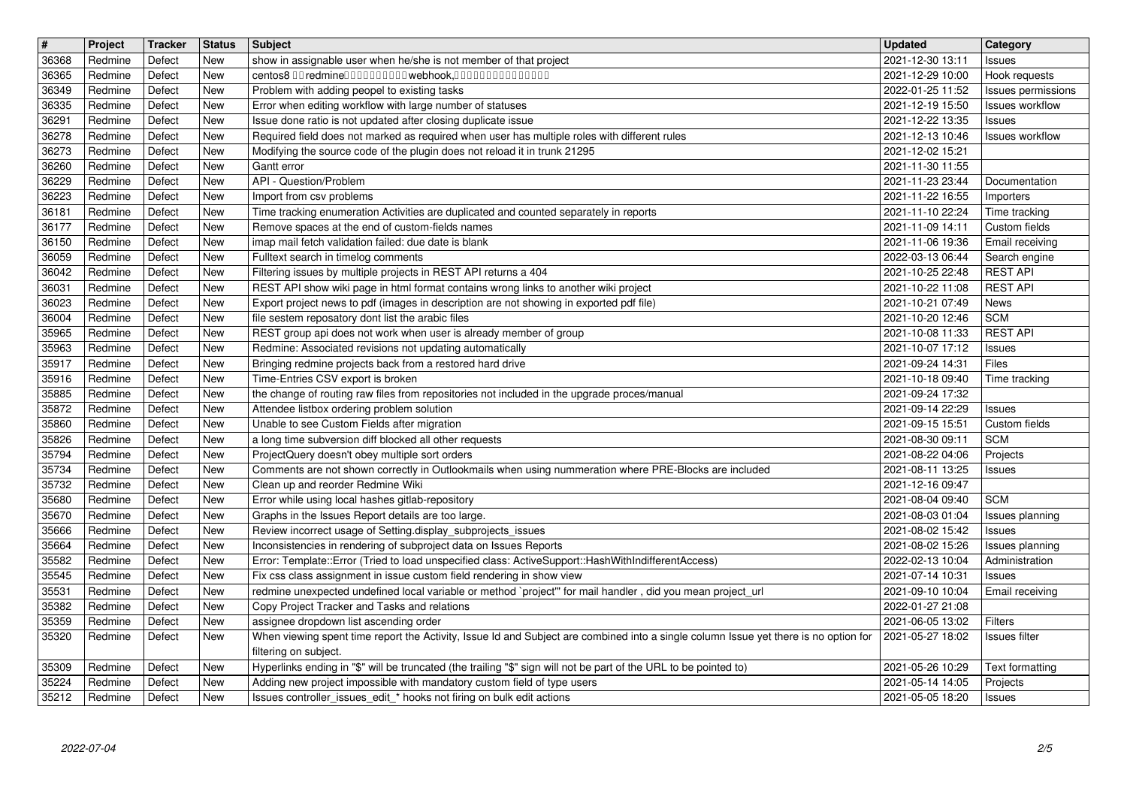| $\sqrt{t}$     | Project            | Tracker          | <b>Status</b>            | <b>Subject</b>                                                                                                                                                          | <b>Updated</b>                       | <b>Category</b>                    |
|----------------|--------------------|------------------|--------------------------|-------------------------------------------------------------------------------------------------------------------------------------------------------------------------|--------------------------------------|------------------------------------|
| 36368<br>36365 | Redmine<br>Redmine | Defect<br>Defect | <b>New</b><br>New        | show in assignable user when he/she is not member of that project<br>centos8 00 redmine0000000000 webhook,000000000000000                                               | 2021-12-30 13:11<br>2021-12-29 10:00 | Issues<br>Hook requests            |
| 36349          | Redmine            | Defect           | <b>New</b>               | Problem with adding peopel to existing tasks                                                                                                                            | 2022-01-25 11:52                     | Issues permissions                 |
| 36335          | Redmine            | Defect           | <b>New</b>               | Error when editing workflow with large number of statuses                                                                                                               | 2021-12-19 15:50                     | Issues workflow                    |
| 36291<br>36278 | Redmine<br>Redmine | Defect<br>Defect | New<br>New               | Issue done ratio is not updated after closing duplicate issue<br>Required field does not marked as required when user has multiple roles with different rules           | 2021-12-22 13:35<br>2021-12-13 10:46 | Issues<br>Issues workflow          |
| 36273          | Redmine            | Defect           | New                      | Modifying the source code of the plugin does not reload it in trunk 21295                                                                                               | 2021-12-02 15:21                     |                                    |
| 36260<br>36229 | Redmine<br>Redmine | Defect<br>Defect | New<br><b>New</b>        | Gantt error<br>API - Question/Problem                                                                                                                                   | 2021-11-30 11:55<br>2021-11-23 23:44 | Documentation                      |
| 36223          | Redmine            | Defect           | <b>New</b>               | Import from csv problems                                                                                                                                                | 2021-11-22 16:55                     | Importers                          |
| 36181<br>36177 | Redmine<br>Redmine | Defect<br>Defect | <b>New</b><br><b>New</b> | Time tracking enumeration Activities are duplicated and counted separately in reports<br>Remove spaces at the end of custom-fields names                                | 2021-11-10 22:24<br>2021-11-09 14:11 | Time tracking<br>Custom fields     |
| 36150          | Redmine            | Defect           | <b>New</b>               | imap mail fetch validation failed: due date is blank                                                                                                                    | 2021-11-06 19:36                     | Email receiving                    |
| 36059          | Redmine            | Defect           | <b>New</b>               | Fulltext search in timelog comments                                                                                                                                     | 2022-03-13 06:44                     | Search engine                      |
| 36042<br>36031 | Redmine<br>Redmine | Defect<br>Defect | <b>New</b><br>New        | Filtering issues by multiple projects in REST API returns a 404<br>REST API show wiki page in html format contains wrong links to another wiki project                  | 2021-10-25 22:48<br>2021-10-22 11:08 | <b>REST API</b><br><b>REST API</b> |
| 36023          | Redmine            | Defect           | New                      | Export project news to pdf (images in description are not showing in exported pdf file)                                                                                 | 2021-10-21 07:49                     | News                               |
| 36004<br>35965 | Redmine<br>Redmine | Defect<br>Defect | New<br><b>New</b>        | file sestem reposatory dont list the arabic files<br>REST group api does not work when user is already member of group                                                  | 2021-10-20 12:46<br>2021-10-08 11:33 | <b>SCM</b><br><b>REST API</b>      |
| 35963          | Redmine            | Defect           | <b>New</b>               | Redmine: Associated revisions not updating automatically                                                                                                                | 2021-10-07 17:12                     | <b>Issues</b>                      |
| 35917          | Redmine            | Defect           | <b>New</b>               | Bringing redmine projects back from a restored hard drive                                                                                                               | 2021-09-24 14:31                     | Files                              |
| 35916<br>35885 | Redmine<br>Redmine | Defect<br>Defect | <b>New</b><br><b>New</b> | Time-Entries CSV export is broken<br>the change of routing raw files from repositories not included in the upgrade proces/manual                                        | 2021-10-18 09:40<br>2021-09-24 17:32 | Time tracking                      |
| 35872          | Redmine            | Defect           | <b>New</b>               | Attendee listbox ordering problem solution                                                                                                                              | 2021-09-14 22:29                     | Issues                             |
| 35860          | Redmine            | Defect           | New                      | Unable to see Custom Fields after migration                                                                                                                             | 2021-09-15 15:51                     | Custom fields<br><b>SCM</b>        |
| 35826<br>35794 | Redmine<br>Redmine | Defect<br>Defect | New<br>New               | a long time subversion diff blocked all other requests<br>ProjectQuery doesn't obey multiple sort orders                                                                | 2021-08-30 09:11<br>2021-08-22 04:06 | Projects                           |
| 35734          | Redmine            | Defect           | <b>New</b>               | Comments are not shown correctly in Outlookmails when using nummeration where PRE-Blocks are included                                                                   | 2021-08-11 13:25                     | Issues                             |
| 35732<br>35680 | Redmine<br>Redmine | Defect<br>Defect | <b>New</b><br>New        | Clean up and reorder Redmine Wiki<br>Error while using local hashes gitlab-repository                                                                                   | 2021-12-16 09:47<br>2021-08-04 09:40 | <b>SCM</b>                         |
| 35670          | Redmine            | Defect           | New                      | Graphs in the Issues Report details are too large.                                                                                                                      | 2021-08-03 01:04                     | Issues planning                    |
| 35666          | Redmine            | Defect           | New                      | Review incorrect usage of Setting.display_subprojects_issues                                                                                                            | 2021-08-02 15:42                     | Issues                             |
| 35664<br>35582 | Redmine<br>Redmine | Defect<br>Defect | <b>New</b><br>New        | Inconsistencies in rendering of subproject data on Issues Reports<br>Error: Template::Error (Tried to load unspecified class: ActiveSupport::HashWithIndifferentAccess) | 2021-08-02 15:26<br>2022-02-13 10:04 | Issues planning<br>Administration  |
| 35545          | Redmine            | Defect           | New                      | Fix css class assignment in issue custom field rendering in show view                                                                                                   | 2021-07-14 10:31                     | Issues                             |
| 35531<br>35382 | Redmine<br>Redmine | Defect<br>Defect | <b>New</b><br><b>New</b> | redmine unexpected undefined local variable or method `project'" for mail handler, did you mean project_url<br>Copy Project Tracker and Tasks and relations             | 2021-09-10 10:04<br>2022-01-27 21:08 | Email receiving                    |
| 35359          | Redmine            | Defect           | <b>New</b>               | assignee dropdown list ascending order                                                                                                                                  | 2021-06-05 13:02                     | Filters                            |
| 35320          | Redmine            | Defect           | New                      | When viewing spent time report the Activity, Issue Id and Subject are combined into a single column Issue yet there is no option for                                    | 2021-05-27 18:02                     | Issues filter                      |
| 35309          | Redmine            | Defect           | New                      | filtering on subject.<br>Hyperlinks ending in "\$" will be truncated (the trailing "\$" sign will not be part of the URL to be pointed to)                              | 2021-05-26 10:29                     | Text formatting                    |
| 35224          | Redmine            | Defect           | New                      | Adding new project impossible with mandatory custom field of type users                                                                                                 | 2021-05-14 14:05                     | Projects                           |
|                |                    |                  |                          |                                                                                                                                                                         |                                      |                                    |
|                |                    |                  |                          |                                                                                                                                                                         |                                      |                                    |
|                |                    |                  |                          |                                                                                                                                                                         |                                      |                                    |
|                |                    |                  |                          |                                                                                                                                                                         |                                      |                                    |
|                |                    |                  |                          |                                                                                                                                                                         |                                      |                                    |
|                |                    |                  |                          |                                                                                                                                                                         |                                      |                                    |
|                |                    |                  |                          |                                                                                                                                                                         |                                      |                                    |
|                |                    |                  |                          |                                                                                                                                                                         |                                      |                                    |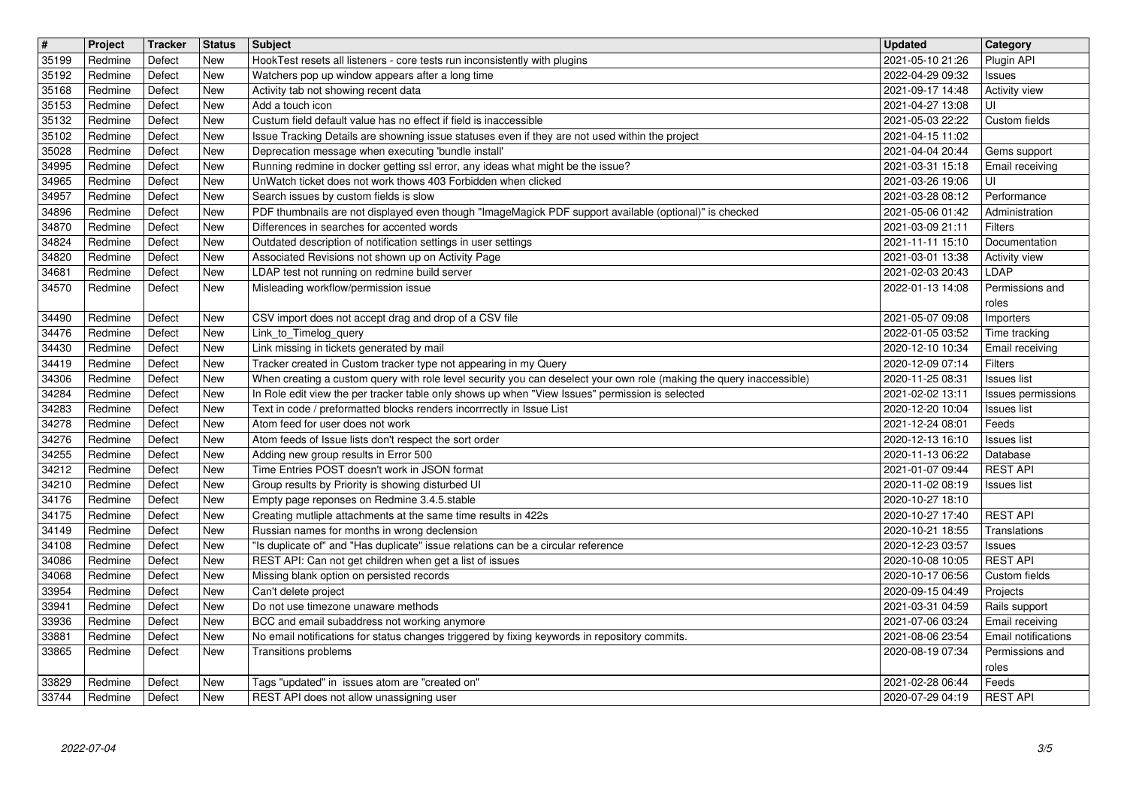| $\sqrt{t}$     | Project            | Tracker          | <b>Status</b>            | Subject                                                                                                                                                                                  | <b>Updated</b>                       | Category                       |
|----------------|--------------------|------------------|--------------------------|------------------------------------------------------------------------------------------------------------------------------------------------------------------------------------------|--------------------------------------|--------------------------------|
| 35199<br>35192 | Redmine<br>Redmine | Defect<br>Defect | <b>New</b><br><b>New</b> | HookTest resets all listeners - core tests run inconsistently with plugins<br>Watchers pop up window appears after a long time                                                           | 2021-05-10 21:26<br>2022-04-29 09:32 | Plugin API<br>Issues           |
| 35168          | Redmine            | Defect           | <b>New</b>               | Activity tab not showing recent data                                                                                                                                                     | 2021-09-17 14:48                     | <b>Activity view</b>           |
| 35153          | Redmine            | Defect           | <b>New</b>               | Add a touch icon                                                                                                                                                                         | 2021-04-27 13:08                     | UI                             |
| 35132          | Redmine            | Defect           | <b>New</b>               | Custum field default value has no effect if field is inaccessible                                                                                                                        | 2021-05-03 22:22                     | Custom fields                  |
| 35102<br>35028 | Redmine<br>Redmine | Defect<br>Defect | <b>New</b><br>New        | Issue Tracking Details are showning issue statuses even if they are not used within the project<br>Deprecation message when executing 'bundle install'                                   | 2021-04-15 11:02<br>2021-04-04 20:44 | Gems support                   |
| 34995          | Redmine            | Defect           | New                      | Running redmine in docker getting ssl error, any ideas what might be the issue?                                                                                                          | 2021-03-31 15:18                     | Email receiving                |
| 34965<br>34957 | Redmine<br>Redmine | Defect<br>Defect | <b>New</b><br><b>New</b> | UnWatch ticket does not work thows 403 Forbidden when clicked<br>Search issues by custom fields is slow                                                                                  | 2021-03-26 19:06<br>2021-03-28 08:12 | UI<br>Performance              |
| 34896          | Redmine            | Defect           | <b>New</b>               | PDF thumbnails are not displayed even though "ImageMagick PDF support available (optional)" is checked                                                                                   | 2021-05-06 01:42                     | Administration                 |
| 34870          | Redmine            | Defect           | <b>New</b>               | Differences in searches for accented words                                                                                                                                               | 2021-03-09 21:11                     | Filters                        |
| 34824<br>34820 | Redmine<br>Redmine | Defect<br>Defect | <b>New</b><br><b>New</b> | Outdated description of notification settings in user settings<br>Associated Revisions not shown up on Activity Page                                                                     | 2021-11-11 15:10<br>2021-03-01 13:38 | Documentation<br>Activity view |
| 34681          | Redmine            | Defect           | <b>New</b>               | LDAP test not running on redmine build server                                                                                                                                            | 2021-02-03 20:43                     | LDAP                           |
| 34570          | Redmine            | Defect           | New                      | Misleading workflow/permission issue                                                                                                                                                     | 2022-01-13 14:08                     | Permissions and                |
| 34490          | Redmine            | Defect           | New                      | CSV import does not accept drag and drop of a CSV file                                                                                                                                   | 2021-05-07 09:08                     | roles<br>Importers             |
| 34476          | Redmine            | Defect           | <b>New</b>               | Link_to_Timelog_query                                                                                                                                                                    | 2022-01-05 03:52                     | Time tracking                  |
| 34430          | Redmine            | Defect           | <b>New</b>               | Link missing in tickets generated by mail                                                                                                                                                | 2020-12-10 10:34                     | Email receiving                |
| 34419<br>34306 | Redmine<br>Redmine | Defect<br>Defect | <b>New</b><br><b>New</b> | Tracker created in Custom tracker type not appearing in my Query<br>When creating a custom query with role level security you can deselect your own role (making the query inaccessible) | 2020-12-09 07:14<br>2020-11-25 08:31 | Filters<br><b>Issues list</b>  |
| 34284          | Redmine            | Defect           | <b>New</b>               | In Role edit view the per tracker table only shows up when "View Issues" permission is selected                                                                                          | 2021-02-02 13:11                     | Issues permissions             |
| 34283          | Redmine            | Defect           | <b>New</b>               | Text in code / preformatted blocks renders incorrrectly in Issue List                                                                                                                    | 2020-12-20 10:04                     | <b>Issues list</b>             |
| 34278<br>34276 | Redmine<br>Redmine | Defect<br>Defect | New<br>New               | Atom feed for user does not work<br>Atom feeds of Issue lists don't respect the sort order                                                                                               | 2021-12-24 08:01<br>2020-12-13 16:10 | Feeds<br><b>Issues list</b>    |
| 34255          | Redmine            | Defect           | <b>New</b>               | Adding new group results in Error 500                                                                                                                                                    | 2020-11-13 06:22                     | Database                       |
| 34212<br>34210 | Redmine<br>Redmine | Defect<br>Defect | <b>New</b><br><b>New</b> | Time Entries POST doesn't work in JSON format<br>Group results by Priority is showing disturbed UI                                                                                       | 2021-01-07 09:44<br>2020-11-02 08:19 | <b>REST API</b><br>Issues list |
| 34176          | Redmine            | Defect           | New                      | Empty page reponses on Redmine 3.4.5.stable                                                                                                                                              | 2020-10-27 18:10                     |                                |
| 34175          | Redmine            | Defect           | New                      | Creating mutliple attachments at the same time results in 422s                                                                                                                           | 2020-10-27 17:40                     | <b>REST API</b>                |
| 34149<br>34108 | Redmine<br>Redmine | Defect<br>Defect | <b>New</b><br>New        | Russian names for months in wrong declension<br>"Is duplicate of" and "Has duplicate" issue relations can be a circular reference                                                        | 2020-10-21 18:55<br>2020-12-23 03:57 | Translations<br><b>Issues</b>  |
| 34086          | Redmine            | Defect           | New                      | REST API: Can not get children when get a list of issues                                                                                                                                 | 2020-10-08 10:05                     | <b>REST API</b>                |
| 34068          | Redmine            | Defect           | New                      | Missing blank option on persisted records                                                                                                                                                | 2020-10-17 06:56                     | Custom fields                  |
| 33954<br>33941 | Redmine<br>Redmine | Defect<br>Defect | <b>New</b><br><b>New</b> | Can't delete project<br>Do not use timezone unaware methods                                                                                                                              | 2020-09-15 04:49<br>2021-03-31 04:59 | Projects<br>Rails support      |
| 33936          | Redmine            | Defect           | <b>New</b>               | BCC and email subaddress not working anymore                                                                                                                                             | 2021-07-06 03:24                     | Email receiving                |
| 33881          | Redmine            | Defect           | New                      | No email notifications for status changes triggered by fixing keywords in repository commits.                                                                                            | 2021-08-06 23:54                     | Email notifications            |
| 33865          | Redmine            | Defect           | <b>New</b>               | Transitions problems                                                                                                                                                                     | 2020-08-19 07:34                     | Permissions and<br>roles       |
| 33829          | Redmine            | Defect           | <b>New</b>               | Tags "updated" in issues atom are "created on"                                                                                                                                           | 2021-02-28 06:44                     | Feeds                          |
| 33744          | Redmine            | Defect           | New                      | REST API does not allow unassigning user                                                                                                                                                 | 2020-07-29 04:19                     | <b>REST API</b>                |
|                |                    |                  |                          |                                                                                                                                                                                          |                                      |                                |
|                |                    |                  |                          |                                                                                                                                                                                          |                                      |                                |
|                |                    |                  |                          |                                                                                                                                                                                          |                                      |                                |
|                |                    |                  |                          |                                                                                                                                                                                          |                                      |                                |
|                |                    |                  |                          |                                                                                                                                                                                          |                                      |                                |
|                |                    |                  |                          |                                                                                                                                                                                          |                                      |                                |
|                |                    |                  |                          |                                                                                                                                                                                          |                                      |                                |
|                |                    |                  |                          |                                                                                                                                                                                          |                                      |                                |
|                |                    |                  |                          |                                                                                                                                                                                          |                                      |                                |
|                |                    |                  |                          |                                                                                                                                                                                          |                                      |                                |
|                |                    |                  |                          |                                                                                                                                                                                          |                                      |                                |
|                |                    |                  |                          |                                                                                                                                                                                          |                                      |                                |
|                |                    |                  |                          |                                                                                                                                                                                          |                                      |                                |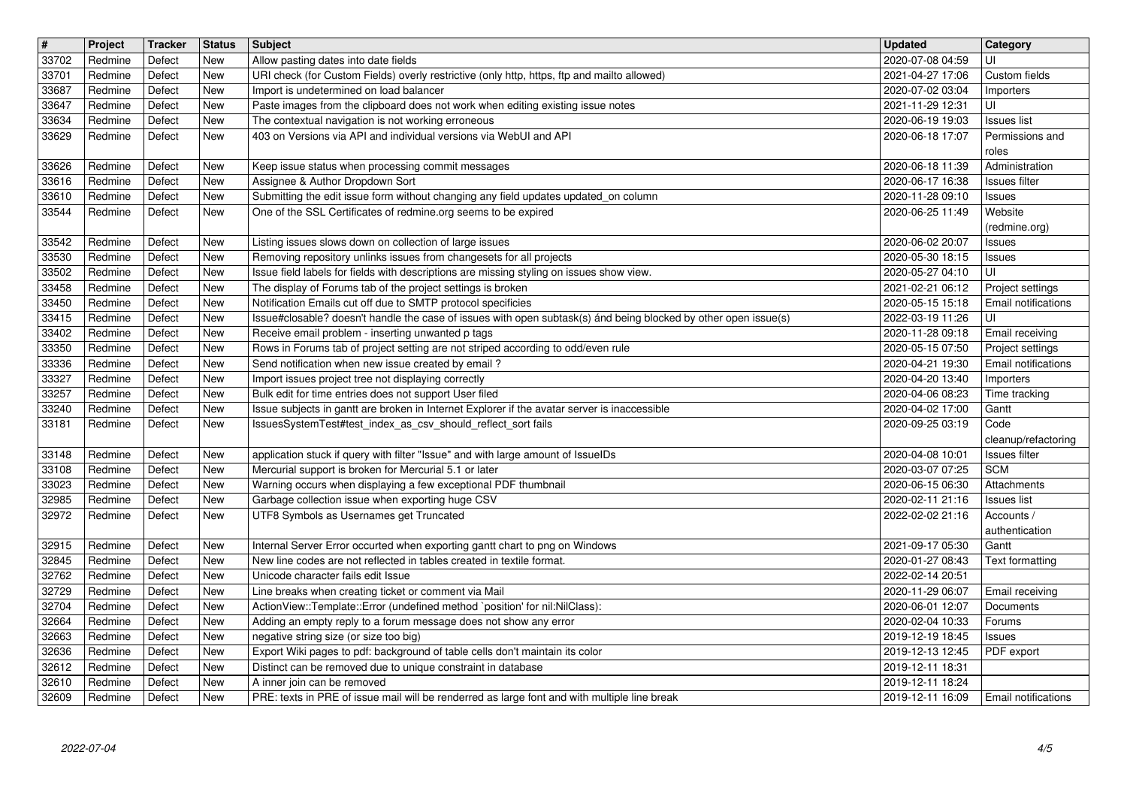| $\boxed{\texttt{#}}$ | Project            | <b>Tracker</b>   | <b>Status</b>            | <b>Subject</b>                                                                                                                                                       | <b>Updated</b>                                | <b>Category</b>                                |
|----------------------|--------------------|------------------|--------------------------|----------------------------------------------------------------------------------------------------------------------------------------------------------------------|-----------------------------------------------|------------------------------------------------|
| 33702                | Redmine            | Defect           | <b>New</b>               | Allow pasting dates into date fields                                                                                                                                 | 2020-07-08 04:59                              | UI                                             |
| 33701<br>33687       | Redmine<br>Redmine | Defect<br>Defect | <b>New</b><br><b>New</b> | URI check (for Custom Fields) overly restrictive (only http, https, ftp and mailto allowed)<br>Import is undetermined on load balancer                               | 2021-04-27 17:06<br>2020-07-02 03:04          | Custom fields<br>Importers                     |
| 33647                | Redmine            | Defect           | <b>New</b>               | Paste images from the clipboard does not work when editing existing issue notes                                                                                      | 2021-11-29 12:31                              | UI                                             |
| 33634<br>33629       | Redmine<br>Redmine | Defect<br>Defect | New<br><b>New</b>        | The contextual navigation is not working erroneous<br>403 on Versions via API and individual versions via WebUI and API                                              | 2020-06-19 19:03<br>2020-06-18 17:07          | Issues list<br>Permissions and                 |
|                      |                    |                  |                          |                                                                                                                                                                      |                                               | roles                                          |
| 33626<br>33616       | Redmine<br>Redmine | Defect<br>Defect | <b>New</b><br>New        | Keep issue status when processing commit messages<br>Assignee & Author Dropdown Sort                                                                                 | 2020-06-18 11:39<br>2020-06-17 16:38          | Administration<br>Issues filter                |
| 33610<br>33544       | Redmine<br>Redmine | Defect<br>Defect | <b>New</b><br>New        | Submitting the edit issue form without changing any field updates updated_on column<br>One of the SSL Certificates of redmine.org seems to be expired                | 2020-11-28 09:10<br>2020-06-25 11:49          | Issues<br>Website                              |
| 33542                | Redmine            | Defect           | New                      | Listing issues slows down on collection of large issues                                                                                                              | 2020-06-02 20:07                              | (redmine.org)<br>Issues                        |
| 33530<br>33502       | Redmine<br>Redmine | Defect<br>Defect | <b>New</b><br>New        | Removing repository unlinks issues from changesets for all projects<br>Issue field labels for fields with descriptions are missing styling on issues show view.      | 2020-05-30 18:15<br>2020-05-27 04:10          | Issues<br>luı                                  |
| 33458<br>33450       | Redmine<br>Redmine | Defect<br>Defect | New<br>New               | The display of Forums tab of the project settings is broken<br>Notification Emails cut off due to SMTP protocol specificies                                          | 2021-02-21 06:12<br>2020-05-15 15:18          | Project settings<br><b>Email notifications</b> |
| 33415<br>33402       | Redmine<br>Redmine | Defect<br>Defect | New<br>New               | Issue#closable? doesn't handle the case of issues with open subtask(s) ánd being blocked by other open issue(s)<br>Receive email problem - inserting unwanted p tags | 2022-03-19 11:26<br>2020-11-28 09:18          | UI<br>Email receiving                          |
| 33350<br>33336       | Redmine<br>Redmine | Defect<br>Defect | <b>New</b><br><b>New</b> | Rows in Forums tab of project setting are not striped according to odd/even rule<br>Send notification when new issue created by email?                               | 2020-05-15 07:50<br>2020-04-21 19:30          | Project settings<br><b>Email notifications</b> |
| 33327<br>33257       | Redmine<br>Redmine | Defect<br>Defect | <b>New</b><br>New        | Import issues project tree not displaying correctly<br>Bulk edit for time entries does not support User filed                                                        | 2020-04-20 13:40<br>2020-04-06 08:23          | Importers<br>Time tracking                     |
| 33240                | Redmine            | Defect           | <b>New</b>               | Issue subjects in gantt are broken in Internet Explorer if the avatar server is inaccessible                                                                         | 2020-04-02 17:00                              | Gantt                                          |
| 33181                | Redmine            | Defect           | New                      | IssuesSystemTest#test_index_as_csv_should_reflect_sort fails                                                                                                         | 2020-09-25 03:19                              | Code<br>cleanup/refactoring                    |
| 33148<br>33108       | Redmine<br>Redmine | Defect<br>Defect | <b>New</b><br><b>New</b> | application stuck if query with filter "Issue" and with large amount of IssueIDs<br>Mercurial support is broken for Mercurial 5.1 or later                           | 2020-04-08 10:01<br>2020-03-07 07:25          | Issues filter<br><b>SCM</b>                    |
| 33023                | Redmine            | Defect           | <b>New</b>               | Warning occurs when displaying a few exceptional PDF thumbnail                                                                                                       | 2020-06-15 06:30                              | Attachments                                    |
| 32985                | Redmine            | Defect           | New                      | Garbage collection issue when exporting huge CSV                                                                                                                     | 2020-02-11 21:16                              | <b>Issues list</b>                             |
| 32972                | Redmine            | Defect           | New                      | UTF8 Symbols as Usernames get Truncated                                                                                                                              | 2022-02-02 21:16                              | Accounts /<br>authentication                   |
| 32915                | Redmine            | Defect           | <b>New</b>               | Internal Server Error occurted when exporting gantt chart to png on Windows                                                                                          | 2021-09-17 05:30                              | Gantt                                          |
| 32845<br>32762       | Redmine<br>Redmine | Defect<br>Defect | New<br><b>New</b>        | New line codes are not reflected in tables created in textile format.<br>Unicode character fails edit Issue                                                          | 2020-01-27 08:43<br>2022-02-14 20:51          | Text formatting                                |
| 32729                | Redmine            | Defect           | <b>New</b>               | Line breaks when creating ticket or comment via Mail                                                                                                                 | 2020-11-29 06:07                              | Email receiving                                |
| 32704<br>32664       | Redmine<br>Redmine | Defect<br>Defect | <b>New</b><br>New        | ActionView::Template::Error (undefined method `position' for nil:NilClass):<br>Adding an empty reply to a forum message does not show any error                      | 2020-06-01 12:07<br>2020-02-04 10:33          | Documents<br>Forums                            |
| 32663<br>32636       | Redmine<br>Redmine | Defect<br>Defect | New<br><b>New</b>        | negative string size (or size too big)<br>Export Wiki pages to pdf: background of table cells don't maintain its color                                               | 2019-12-19 18:45   Issues<br>2019-12-13 12:45 | PDF export                                     |
| 32612                | Redmine            | Defect           | New                      | Distinct can be removed due to unique constraint in database                                                                                                         | 2019-12-11 18:31                              |                                                |
| 32610<br>32609       | Redmine<br>Redmine | Defect<br>Defect | New<br>New               | A inner join can be removed<br>PRE: texts in PRE of issue mail will be renderred as large font and with multiple line break                                          | 2019-12-11 18:24<br>2019-12-11 16:09          | Email notifications                            |
|                      |                    |                  |                          |                                                                                                                                                                      |                                               |                                                |
|                      |                    |                  |                          |                                                                                                                                                                      |                                               |                                                |
|                      |                    |                  |                          |                                                                                                                                                                      |                                               |                                                |
|                      |                    |                  |                          |                                                                                                                                                                      |                                               |                                                |
|                      |                    |                  |                          |                                                                                                                                                                      |                                               |                                                |
|                      |                    |                  |                          |                                                                                                                                                                      |                                               |                                                |
|                      |                    |                  |                          |                                                                                                                                                                      |                                               |                                                |
|                      |                    |                  |                          |                                                                                                                                                                      |                                               |                                                |
|                      |                    |                  |                          |                                                                                                                                                                      |                                               |                                                |
|                      |                    |                  |                          |                                                                                                                                                                      |                                               |                                                |
|                      |                    |                  |                          |                                                                                                                                                                      |                                               |                                                |
|                      |                    |                  |                          |                                                                                                                                                                      |                                               |                                                |